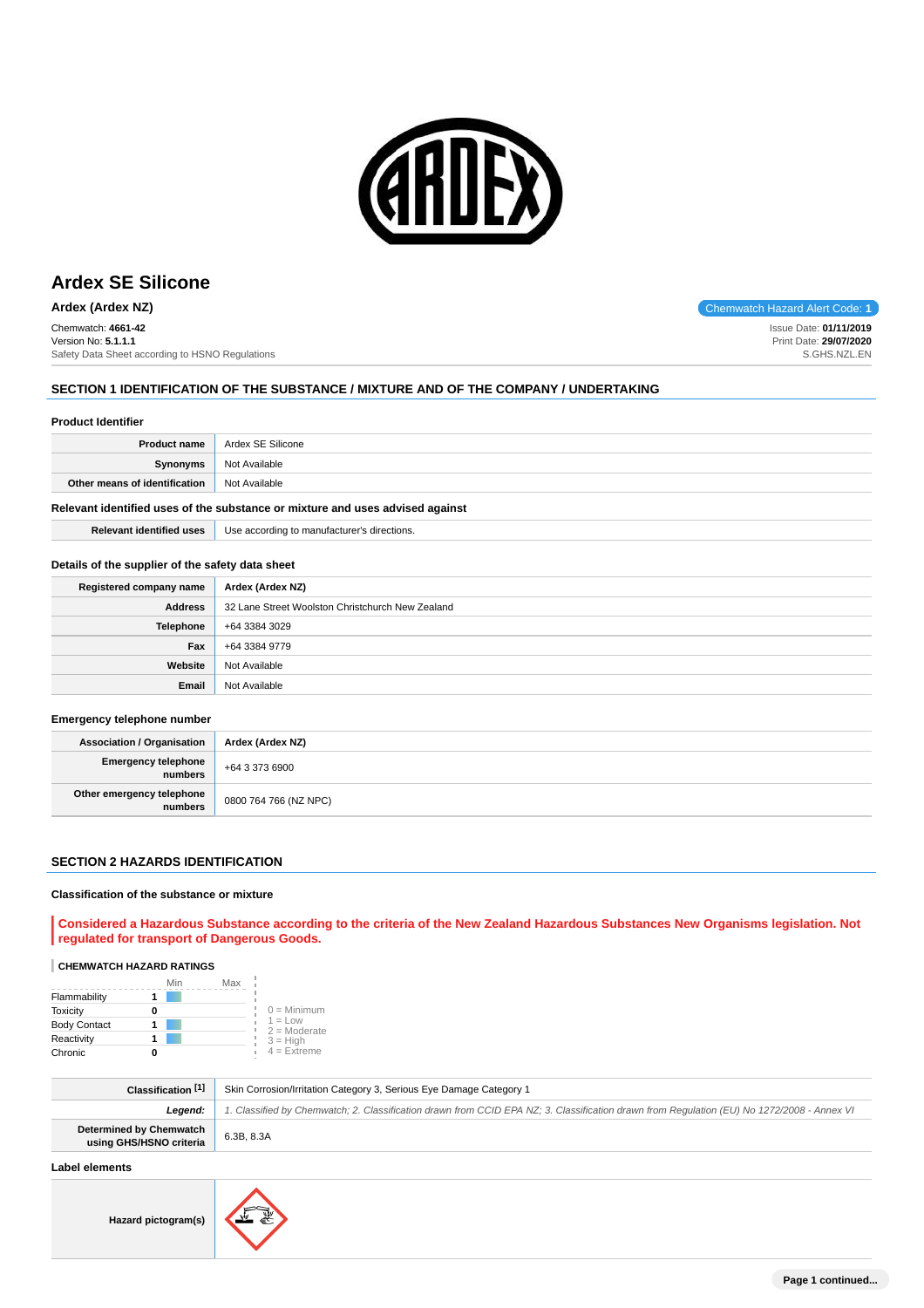

Chemwatch: **4661-42** Version No: **5.1.1.1** Safety Data Sheet according to HSNO Regulations

# **SECTION 1 IDENTIFICATION OF THE SUBSTANCE / MIXTURE AND OF THE COMPANY / UNDERTAKING**

#### **Product Identifier**

| Not Available<br>Synonyms                      |  |
|------------------------------------------------|--|
| Other means of identification<br>Not Available |  |

# **Relevant identified uses of the substance or mixture and uses advised against**

**Relevant identified uses** Use according to manufacturer's directions.

#### **Details of the supplier of the safety data sheet**

| Registered company name | Ardex (Ardex NZ)                                 |
|-------------------------|--------------------------------------------------|
| <b>Address</b>          | 32 Lane Street Woolston Christchurch New Zealand |
| <b>Telephone</b>        | +64 3384 3029                                    |
| Fax                     | +64 3384 9779                                    |
| Website                 | Not Available                                    |
| Email                   | Not Available                                    |

#### **Emergency telephone number**

| Association / Organisation             | Ardex (Ardex NZ)      |
|----------------------------------------|-----------------------|
| Emergency telephone<br>  numbers       | $+6433736900$         |
| Other emergency telephone<br>  numbers | 0800 764 766 (NZ NPC) |

#### **SECTION 2 HAZARDS IDENTIFICATION**

### **Classification of the substance or mixture**

**Considered a Hazardous Substance according to the criteria of the New Zealand Hazardous Substances New Organisms legislation. Not regulated for transport of Dangerous Goods.**

# **CHEMWATCH HAZARD RATINGS**

|                     | Min | Max |                             |
|---------------------|-----|-----|-----------------------------|
| Flammability        |     |     |                             |
| <b>Toxicity</b>     |     |     | $0 =$ Minimum               |
| <b>Body Contact</b> |     |     | $1 = Low$<br>$2 =$ Moderate |
| Reactivity          |     |     | $3 = High$                  |
| Chronic             |     |     | $4 =$ Extreme               |

| Classification [1]                                        | Skin Corrosion/Irritation Category 3, Serious Eye Damage Category 1                                                                        |
|-----------------------------------------------------------|--------------------------------------------------------------------------------------------------------------------------------------------|
| Leaend:                                                   | 1. Classified by Chemwatch; 2. Classification drawn from CCID EPA NZ; 3. Classification drawn from Regulation (EU) No 1272/2008 - Annex VI |
| <b>Determined by Chemwatch</b><br>using GHS/HSNO criteria | 6.3B, 8.3A                                                                                                                                 |

# **Label elements**

**Hazard pictogram(s)**



**Ardex (Ardex NZ)** Chemwatch Hazard Alert Code: 1

Issue Date: **01/11/2019** Print Date: **29/07/2020** S.GHS.NZL.EN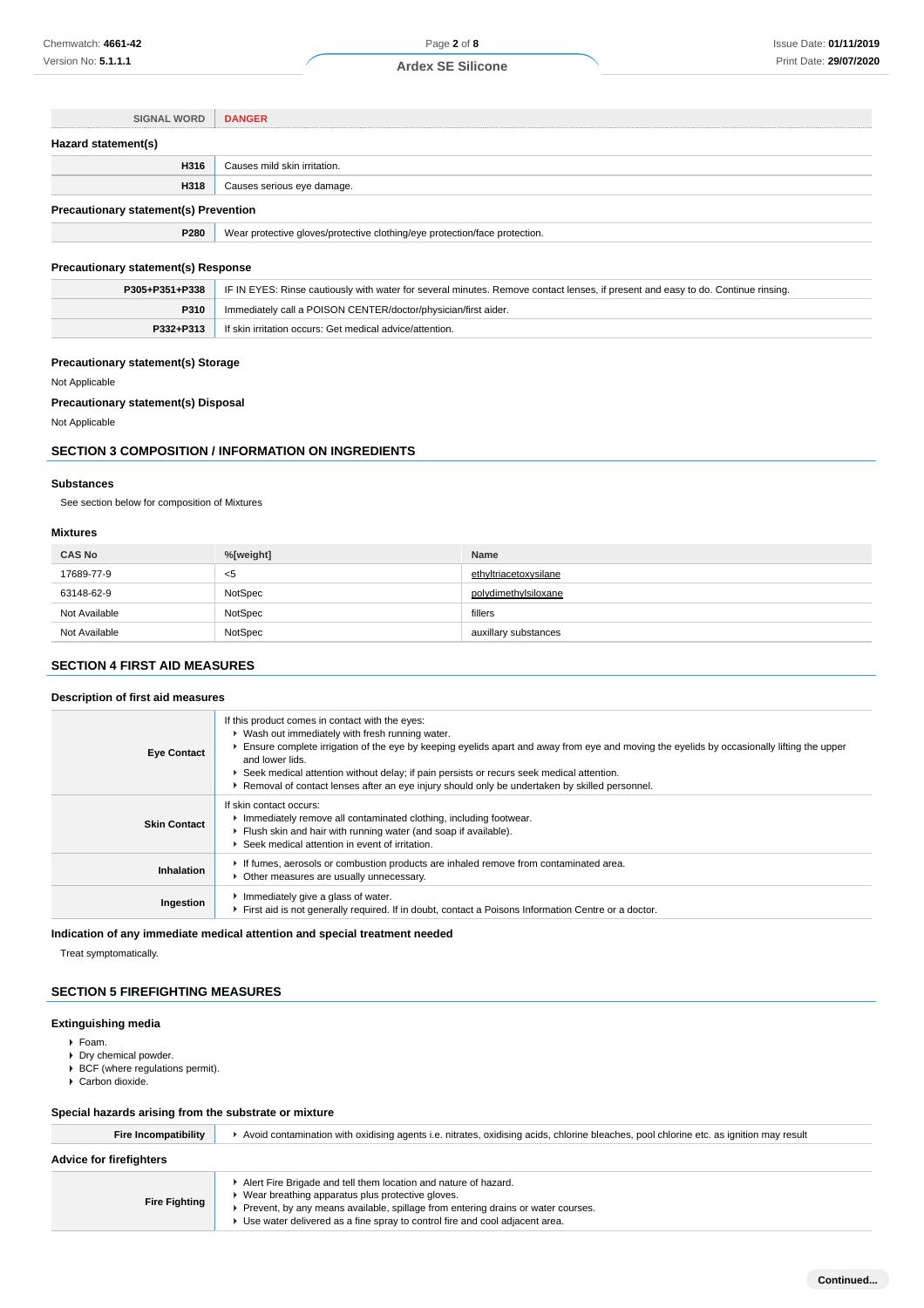| <b>SIGNAL WORD</b>                           | <b>DANGER</b>                                                              |
|----------------------------------------------|----------------------------------------------------------------------------|
| Hazard statement(s)                          |                                                                            |
| H316                                         | Causes mild skin irritation.                                               |
| H318                                         | Causes serious eye damage.                                                 |
| <b>Precautionary statement(s) Prevention</b> |                                                                            |
| P280                                         | Wear protective gloves/protective clothing/eye protection/face protection. |

# **Precautionary statement(s) Response**

|           | P305+P351+P338   IF IN EYES: Rinse cautiously with water for several minutes. Remove contact lenses, if present and easy to do. Continue rinsing. |
|-----------|---------------------------------------------------------------------------------------------------------------------------------------------------|
| P310      | Immediately call a POISON CENTER/doctor/physician/first aider.                                                                                    |
| P332+P313 | If skin irritation occurs: Get medical advice/attention.                                                                                          |

# **Precautionary statement(s) Storage**

Not Applicable

# **Precautionary statement(s) Disposal**

Not Applicable

# **SECTION 3 COMPOSITION / INFORMATION ON INGREDIENTS**

# **Substances**

See section below for composition of Mixtures

# **Mixtures**

| <b>CAS No</b> | %[weight] | <b>Name</b>           |
|---------------|-----------|-----------------------|
| 17689-77-9    | $5$       | ethyltriacetoxysilane |
| 63148-62-9    | NotSpec   | polvdimethylsiloxane  |
| Not Available | NotSpec   | fillers               |
| Not Available | NotSpec   | auxillary substances  |

# **SECTION 4 FIRST AID MEASURES**

# **Description of first aid measures**

| <b>Eye Contact</b>  | If this product comes in contact with the eyes:<br>• Wash out immediately with fresh running water.<br>Ensure complete irrigation of the eye by keeping eyelids apart and away from eye and moving the eyelids by occasionally lifting the upper<br>and lower lids.<br>▶ Seek medical attention without delay; if pain persists or recurs seek medical attention.<br>▶ Removal of contact lenses after an eye injury should only be undertaken by skilled personnel. |
|---------------------|----------------------------------------------------------------------------------------------------------------------------------------------------------------------------------------------------------------------------------------------------------------------------------------------------------------------------------------------------------------------------------------------------------------------------------------------------------------------|
| <b>Skin Contact</b> | If skin contact occurs:<br>Inmediately remove all contaminated clothing, including footwear.<br>Flush skin and hair with running water (and soap if available).<br>▶ Seek medical attention in event of irritation.                                                                                                                                                                                                                                                  |
| Inhalation          | If fumes, aerosols or combustion products are inhaled remove from contaminated area.<br>• Other measures are usually unnecessary.                                                                                                                                                                                                                                                                                                                                    |
| Ingestion           | Immediately give a glass of water.<br>First aid is not generally required. If in doubt, contact a Poisons Information Centre or a doctor.                                                                                                                                                                                                                                                                                                                            |

# **Indication of any immediate medical attention and special treatment needed**

Treat symptomatically.

# **SECTION 5 FIREFIGHTING MEASURES**

# **Extinguishing media**

- Foam.
- Dry chemical powder.
- $\triangleright$  BCF (where regulations permit).
- ► Carbon dioxide.

# **Special hazards arising from the substrate or mixture**

| <b>Fire Incompatibility</b>    | Avoid contamination with oxidising agents i.e. nitrates, oxidising acids, chlorine bleaches, pool chlorine etc. as ignition may result                                                                                                                                                       |
|--------------------------------|----------------------------------------------------------------------------------------------------------------------------------------------------------------------------------------------------------------------------------------------------------------------------------------------|
| <b>Advice for firefighters</b> |                                                                                                                                                                                                                                                                                              |
| <b>Fire Fighting</b>           | Alert Fire Brigade and tell them location and nature of hazard.<br>▶ Wear breathing apparatus plus protective gloves.<br>► Prevent, by any means available, spillage from entering drains or water courses.<br>▶ Use water delivered as a fine spray to control fire and cool adjacent area. |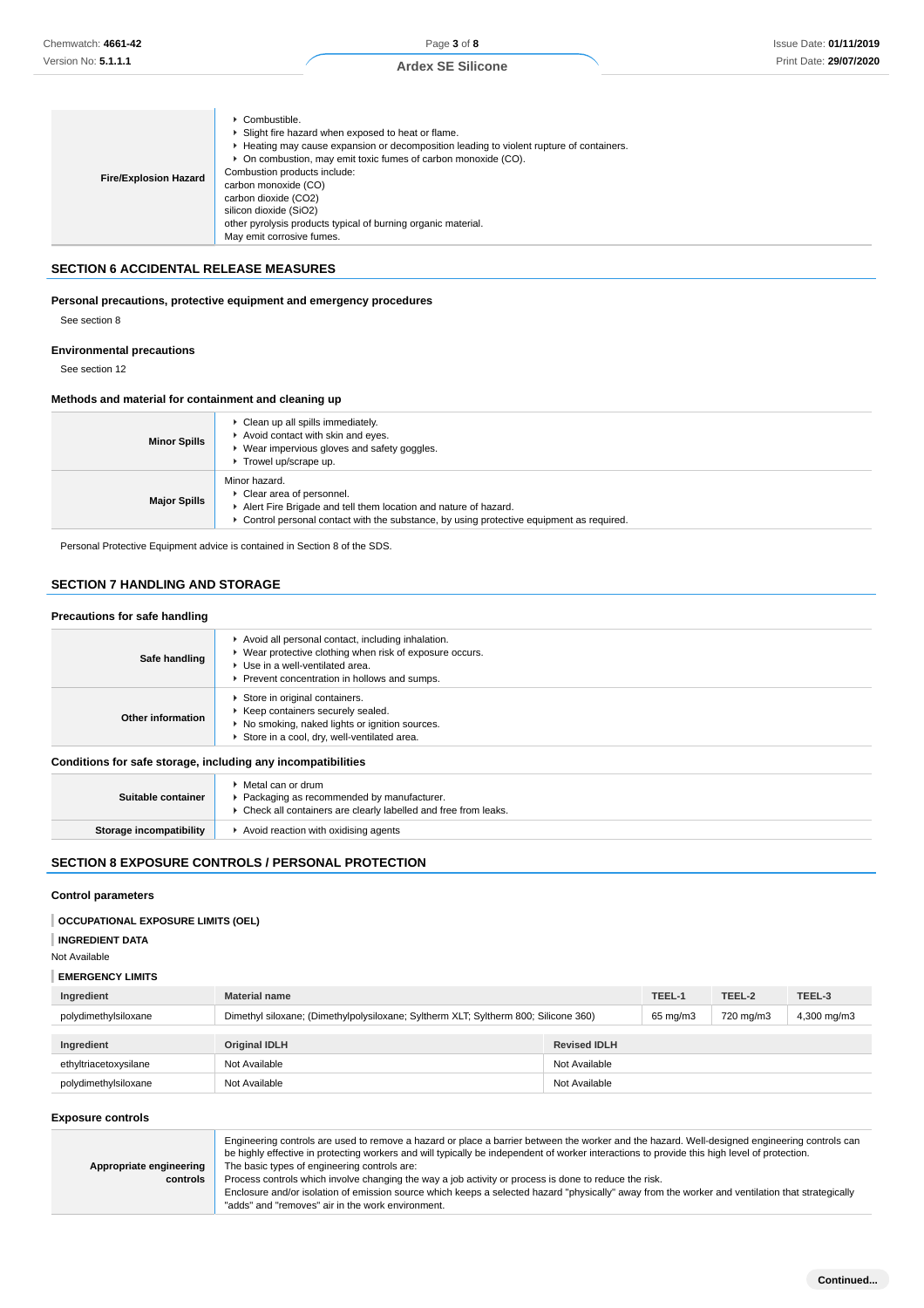| <b>Fire/Explosion Hazard</b> | $\triangleright$ Combustible.<br>▶ Slight fire hazard when exposed to heat or flame.<br>► Heating may cause expansion or decomposition leading to violent rupture of containers.<br>• On combustion, may emit toxic fumes of carbon monoxide (CO).<br>Combustion products include:<br>carbon monoxide (CO)<br>carbon dioxide (CO2)<br>silicon dioxide (SiO2)<br>other pyrolysis products typical of burning organic material.<br>May emit corrosive fumes. |
|------------------------------|------------------------------------------------------------------------------------------------------------------------------------------------------------------------------------------------------------------------------------------------------------------------------------------------------------------------------------------------------------------------------------------------------------------------------------------------------------|
|------------------------------|------------------------------------------------------------------------------------------------------------------------------------------------------------------------------------------------------------------------------------------------------------------------------------------------------------------------------------------------------------------------------------------------------------------------------------------------------------|

# **SECTION 6 ACCIDENTAL RELEASE MEASURES**

# **Personal precautions, protective equipment and emergency procedures**

# **Environmental precautions**

# **Methods and material for containment and cleaning up**

| <b>Minor Spills</b> | Clean up all spills immediately.<br>Avoid contact with skin and eyes.<br>▶ Wear impervious gloves and safety goggles.<br>Trowel up/scrape up.                                                             |
|---------------------|-----------------------------------------------------------------------------------------------------------------------------------------------------------------------------------------------------------|
| <b>Major Spills</b> | Minor hazard.<br>Clear area of personnel.<br>Alert Fire Brigade and tell them location and nature of hazard.<br>► Control personal contact with the substance, by using protective equipment as required. |

# **SECTION 7 HANDLING AND STORAGE**

### **Precautions for safe handling**

| Chemwatch: 4661-42                                                                   |                                                                                                                                                     |                                                                                                                                                                                      | Page 3 of 8                                                                                                                                                                                                                                                                                                                                                                                                                                                                                                                                                |                     |                    |                     | <b>Issue Date: 01/11/201</b> |
|--------------------------------------------------------------------------------------|-----------------------------------------------------------------------------------------------------------------------------------------------------|--------------------------------------------------------------------------------------------------------------------------------------------------------------------------------------|------------------------------------------------------------------------------------------------------------------------------------------------------------------------------------------------------------------------------------------------------------------------------------------------------------------------------------------------------------------------------------------------------------------------------------------------------------------------------------------------------------------------------------------------------------|---------------------|--------------------|---------------------|------------------------------|
| Version No: <b>5.1.1.1</b>                                                           |                                                                                                                                                     |                                                                                                                                                                                      | <b>Ardex SE Silicone</b>                                                                                                                                                                                                                                                                                                                                                                                                                                                                                                                                   |                     |                    |                     | Print Date: 29/07/202        |
|                                                                                      |                                                                                                                                                     |                                                                                                                                                                                      |                                                                                                                                                                                                                                                                                                                                                                                                                                                                                                                                                            |                     |                    |                     |                              |
| <b>Fire/Explosion Hazard</b>                                                         | Combustible.<br>Combustion products include:<br>carbon monoxide (CO)<br>carbon dioxide (CO2)<br>silicon dioxide (SiO2)<br>May emit corrosive fumes. | Slight fire hazard when exposed to heat or flame.<br>• On combustion, may emit toxic fumes of carbon monoxide (CO).<br>other pyrolysis products typical of burning organic material. | Heating may cause expansion or decomposition leading to violent rupture of containers.                                                                                                                                                                                                                                                                                                                                                                                                                                                                     |                     |                    |                     |                              |
| <b>SECTION 6 ACCIDENTAL RELEASE MEASURES</b>                                         |                                                                                                                                                     |                                                                                                                                                                                      |                                                                                                                                                                                                                                                                                                                                                                                                                                                                                                                                                            |                     |                    |                     |                              |
| Personal precautions, protective equipment and emergency procedures<br>See section 8 |                                                                                                                                                     |                                                                                                                                                                                      |                                                                                                                                                                                                                                                                                                                                                                                                                                                                                                                                                            |                     |                    |                     |                              |
| <b>Environmental precautions</b><br>See section 12                                   |                                                                                                                                                     |                                                                                                                                                                                      |                                                                                                                                                                                                                                                                                                                                                                                                                                                                                                                                                            |                     |                    |                     |                              |
| Methods and material for containment and cleaning up                                 |                                                                                                                                                     |                                                                                                                                                                                      |                                                                                                                                                                                                                                                                                                                                                                                                                                                                                                                                                            |                     |                    |                     |                              |
| <b>Minor Spills</b>                                                                  | Clean up all spills immediately.<br>Trowel up/scrape up.                                                                                            | Avoid contact with skin and eyes.<br>▶ Wear impervious gloves and safety goggles.                                                                                                    |                                                                                                                                                                                                                                                                                                                                                                                                                                                                                                                                                            |                     |                    |                     |                              |
| <b>Major Spills</b>                                                                  | Minor hazard.<br>Clear area of personnel.                                                                                                           | Alert Fire Brigade and tell them location and nature of hazard.                                                                                                                      | ▶ Control personal contact with the substance, by using protective equipment as required.                                                                                                                                                                                                                                                                                                                                                                                                                                                                  |                     |                    |                     |                              |
| Personal Protective Equipment advice is contained in Section 8 of the SDS.           |                                                                                                                                                     |                                                                                                                                                                                      |                                                                                                                                                                                                                                                                                                                                                                                                                                                                                                                                                            |                     |                    |                     |                              |
| <b>SECTION 7 HANDLING AND STORAGE</b>                                                |                                                                                                                                                     |                                                                                                                                                                                      |                                                                                                                                                                                                                                                                                                                                                                                                                                                                                                                                                            |                     |                    |                     |                              |
|                                                                                      |                                                                                                                                                     |                                                                                                                                                                                      |                                                                                                                                                                                                                                                                                                                                                                                                                                                                                                                                                            |                     |                    |                     |                              |
| <b>Precautions for safe handling</b>                                                 |                                                                                                                                                     |                                                                                                                                                                                      |                                                                                                                                                                                                                                                                                                                                                                                                                                                                                                                                                            |                     |                    |                     |                              |
| Safe handling                                                                        | Use in a well-ventilated area.                                                                                                                      | Avoid all personal contact, including inhalation.<br>• Wear protective clothing when risk of exposure occurs.<br>▶ Prevent concentration in hollows and sumps.                       |                                                                                                                                                                                                                                                                                                                                                                                                                                                                                                                                                            |                     |                    |                     |                              |
| Other information                                                                    | Store in original containers.                                                                                                                       | ▶ Keep containers securely sealed.<br>No smoking, naked lights or ignition sources.<br>Store in a cool, dry, well-ventilated area.                                                   |                                                                                                                                                                                                                                                                                                                                                                                                                                                                                                                                                            |                     |                    |                     |                              |
| Conditions for safe storage, including any incompatibilities                         |                                                                                                                                                     |                                                                                                                                                                                      |                                                                                                                                                                                                                                                                                                                                                                                                                                                                                                                                                            |                     |                    |                     |                              |
| Suitable container                                                                   | ▶ Metal can or drum                                                                                                                                 | ▶ Packaging as recommended by manufacturer.<br>• Check all containers are clearly labelled and free from leaks.                                                                      |                                                                                                                                                                                                                                                                                                                                                                                                                                                                                                                                                            |                     |                    |                     |                              |
| <b>Storage incompatibility</b>                                                       |                                                                                                                                                     | Avoid reaction with oxidising agents                                                                                                                                                 |                                                                                                                                                                                                                                                                                                                                                                                                                                                                                                                                                            |                     |                    |                     |                              |
| <b>SECTION 8 EXPOSURE CONTROLS / PERSONAL PROTECTION</b>                             |                                                                                                                                                     |                                                                                                                                                                                      |                                                                                                                                                                                                                                                                                                                                                                                                                                                                                                                                                            |                     |                    |                     |                              |
|                                                                                      |                                                                                                                                                     |                                                                                                                                                                                      |                                                                                                                                                                                                                                                                                                                                                                                                                                                                                                                                                            |                     |                    |                     |                              |
| <b>Control parameters</b>                                                            |                                                                                                                                                     |                                                                                                                                                                                      |                                                                                                                                                                                                                                                                                                                                                                                                                                                                                                                                                            |                     |                    |                     |                              |
| <b>OCCUPATIONAL EXPOSURE LIMITS (OEL)</b>                                            |                                                                                                                                                     |                                                                                                                                                                                      |                                                                                                                                                                                                                                                                                                                                                                                                                                                                                                                                                            |                     |                    |                     |                              |
| <b>INGREDIENT DATA</b>                                                               |                                                                                                                                                     |                                                                                                                                                                                      |                                                                                                                                                                                                                                                                                                                                                                                                                                                                                                                                                            |                     |                    |                     |                              |
| Not Available                                                                        |                                                                                                                                                     |                                                                                                                                                                                      |                                                                                                                                                                                                                                                                                                                                                                                                                                                                                                                                                            |                     |                    |                     |                              |
| <b>EMERGENCY LIMITS</b>                                                              |                                                                                                                                                     |                                                                                                                                                                                      |                                                                                                                                                                                                                                                                                                                                                                                                                                                                                                                                                            |                     |                    |                     |                              |
| Ingredient<br>polydimethylsiloxane                                                   | <b>Material name</b>                                                                                                                                |                                                                                                                                                                                      | Dimethyl siloxane; (Dimethylpolysiloxane; Syltherm XLT; Syltherm 800; Silicone 360)                                                                                                                                                                                                                                                                                                                                                                                                                                                                        |                     | TEEL-1<br>65 mg/m3 | TEEL-2<br>720 mg/m3 | TEEL-3<br>4,300 mg/m3        |
|                                                                                      |                                                                                                                                                     |                                                                                                                                                                                      |                                                                                                                                                                                                                                                                                                                                                                                                                                                                                                                                                            |                     |                    |                     |                              |
| Ingredient                                                                           | <b>Original IDLH</b>                                                                                                                                |                                                                                                                                                                                      |                                                                                                                                                                                                                                                                                                                                                                                                                                                                                                                                                            | <b>Revised IDLH</b> |                    |                     |                              |
| ethyltriacetoxysilane                                                                | Not Available                                                                                                                                       |                                                                                                                                                                                      |                                                                                                                                                                                                                                                                                                                                                                                                                                                                                                                                                            | Not Available       |                    |                     |                              |
| polydimethylsiloxane                                                                 | Not Available                                                                                                                                       |                                                                                                                                                                                      |                                                                                                                                                                                                                                                                                                                                                                                                                                                                                                                                                            | Not Available       |                    |                     |                              |
| <b>Exposure controls</b>                                                             |                                                                                                                                                     |                                                                                                                                                                                      |                                                                                                                                                                                                                                                                                                                                                                                                                                                                                                                                                            |                     |                    |                     |                              |
| Appropriate engineering<br>controls                                                  |                                                                                                                                                     | The basic types of engineering controls are:<br>"adds" and "removes" air in the work environment.                                                                                    | Engineering controls are used to remove a hazard or place a barrier between the worker and the hazard. Well-designed engineering controls can<br>be highly effective in protecting workers and will typically be independent of worker interactions to provide this high level of protection.<br>Process controls which involve changing the way a job activity or process is done to reduce the risk.<br>Enclosure and/or isolation of emission source which keeps a selected hazard "physically" away from the worker and ventilation that strategically |                     |                    |                     |                              |

| Suitable container             | Metal can or drum<br>▶ Packaging as recommended by manufacturer.<br>Check all containers are clearly labelled and free from leaks. |
|--------------------------------|------------------------------------------------------------------------------------------------------------------------------------|
| <b>Storage incompatibility</b> | Avoid reaction with oxidising agents                                                                                               |

# **SECTION 8 EXPOSURE CONTROLS / PERSONAL PROTECTION**

# **Control parameters**

# **OCCUPATIONAL EXPOSURE LIMITS (OEL)**

# **EMERGENCY LIMITS**

| Ingredient            | <b>Material name</b>                                                                |                     |  | TEEL-2    | TEEL-3      |
|-----------------------|-------------------------------------------------------------------------------------|---------------------|--|-----------|-------------|
| polydimethylsiloxane  | Dimethyl siloxane; (Dimethylpolysiloxane; Syltherm XLT; Syltherm 800; Silicone 360) |                     |  | 720 mg/m3 | 4,300 mg/m3 |
|                       |                                                                                     |                     |  |           |             |
| Ingredient            | <b>Original IDLH</b>                                                                | <b>Revised IDLH</b> |  |           |             |
|                       |                                                                                     |                     |  |           |             |
| ethyltriacetoxysilane | Not Available                                                                       | Not Available       |  |           |             |

#### **Exposure controls**

|                         | Engineering controls are used to remove a hazard or place a barrier between the worker and the hazard. Well-designed engineering controls can<br>be highly effective in protecting workers and will typically be independent of worker interactions to provide this high level of protection. |
|-------------------------|-----------------------------------------------------------------------------------------------------------------------------------------------------------------------------------------------------------------------------------------------------------------------------------------------|
| Appropriate engineering | The basic types of engineering controls are:                                                                                                                                                                                                                                                  |
| controls                | Process controls which involve changing the way a job activity or process is done to reduce the risk.                                                                                                                                                                                         |
|                         | Enclosure and/or isolation of emission source which keeps a selected hazard "physically" away from the worker and ventilation that strategically                                                                                                                                              |
|                         | "adds" and "removes" air in the work environment.                                                                                                                                                                                                                                             |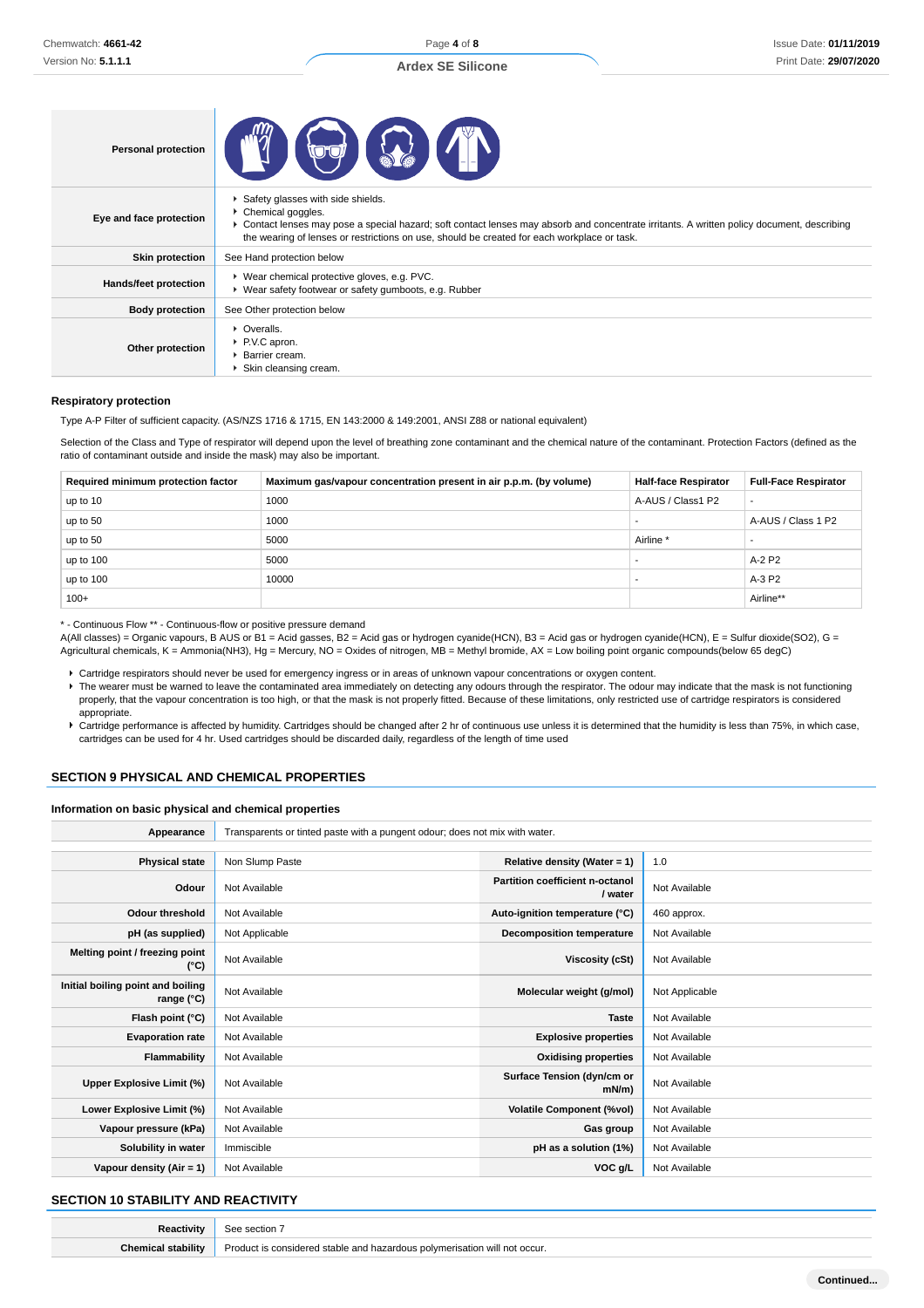| <b>Personal protection</b> |                                                                                                                                                                                                                                                                                                        |
|----------------------------|--------------------------------------------------------------------------------------------------------------------------------------------------------------------------------------------------------------------------------------------------------------------------------------------------------|
| Eye and face protection    | Safety glasses with side shields.<br>▶ Chemical goggles.<br>► Contact lenses may pose a special hazard; soft contact lenses may absorb and concentrate irritants. A written policy document, describing<br>the wearing of lenses or restrictions on use, should be created for each workplace or task. |
| <b>Skin protection</b>     | See Hand protection below                                                                                                                                                                                                                                                                              |
| Hands/feet protection      | ▶ Wear chemical protective gloves, e.g. PVC.<br>▶ Wear safety footwear or safety gumboots, e.g. Rubber                                                                                                                                                                                                 |
| <b>Body protection</b>     | See Other protection below                                                                                                                                                                                                                                                                             |
| Other protection           | • Overalls.<br>P.V.C apron.<br>Barrier cream.<br>Skin cleansing cream.                                                                                                                                                                                                                                 |

#### **Respiratory protection**

Type A-P Filter of sufficient capacity. (AS/NZS 1716 & 1715, EN 143:2000 & 149:2001, ANSI Z88 or national equivalent)

Selection of the Class and Type of respirator will depend upon the level of breathing zone contaminant and the chemical nature of the contaminant. Protection Factors (defined as the ratio of contaminant outside and inside the mask) may also be important.

| Required minimum protection factor | Maximum gas/vapour concentration present in air p.p.m. (by volume) | <b>Half-face Respirator</b> | <b>Full-Face Respirator</b> |
|------------------------------------|--------------------------------------------------------------------|-----------------------------|-----------------------------|
| up to 10                           | 1000                                                               | A-AUS / Class1 P2           | $\overline{\phantom{a}}$    |
| up to 50                           | 1000                                                               |                             | A-AUS / Class 1 P2          |
| up to 50                           | 5000                                                               | Airline <sup>*</sup>        |                             |
| up to 100                          | 5000                                                               |                             | A-2 P2                      |
| up to 100                          | 10000                                                              |                             | A-3 P2                      |
| $100+$                             |                                                                    |                             | Airline**                   |

\* - Continuous Flow \*\* - Continuous-flow or positive pressure demand

A(All classes) = Organic vapours, B AUS or B1 = Acid gasses, B2 = Acid gas or hydrogen cyanide(HCN), B3 = Acid gas or hydrogen cyanide(HCN), E = Sulfur dioxide(SO2), G = Agricultural chemicals, K = Ammonia(NH3), Hg = Mercury, NO = Oxides of nitrogen, MB = Methyl bromide, AX = Low boiling point organic compounds(below 65 degC)

Cartridge respirators should never be used for emergency ingress or in areas of unknown vapour concentrations or oxygen content.

F The wearer must be warned to leave the contaminated area immediately on detecting any odours through the respirator. The odour may indicate that the mask is not functioning properly, that the vapour concentration is too high, or that the mask is not properly fitted. Because of these limitations, only restricted use of cartridge respirators is considered appropriate.

Cartridge performance is affected by humidity. Cartridges should be changed after 2 hr of continuous use unless it is determined that the humidity is less than 75%, in which case, cartridges can be used for 4 hr. Used cartridges should be discarded daily, regardless of the length of time used

# **SECTION 9 PHYSICAL AND CHEMICAL PROPERTIES**

#### **Information on basic physical and chemical properties**

| Appearance                                      | Transparents or tinted paste with a pungent odour; does not mix with water. |                                            |                |  |
|-------------------------------------------------|-----------------------------------------------------------------------------|--------------------------------------------|----------------|--|
|                                                 |                                                                             |                                            |                |  |
| <b>Physical state</b>                           | Non Slump Paste                                                             | Relative density (Water = 1)               | 1.0            |  |
| Odour                                           | Not Available                                                               | Partition coefficient n-octanol<br>/ water | Not Available  |  |
| <b>Odour threshold</b>                          | Not Available                                                               | Auto-ignition temperature (°C)             | 460 approx.    |  |
| pH (as supplied)                                | Not Applicable                                                              | <b>Decomposition temperature</b>           | Not Available  |  |
| Melting point / freezing point<br>(°C)          | Not Available                                                               | Viscosity (cSt)                            | Not Available  |  |
| Initial boiling point and boiling<br>range (°C) | Not Available                                                               | Molecular weight (g/mol)                   | Not Applicable |  |
| Flash point (°C)                                | Not Available                                                               | <b>Taste</b>                               | Not Available  |  |
| <b>Evaporation rate</b>                         | Not Available                                                               | <b>Explosive properties</b>                | Not Available  |  |
| <b>Flammability</b>                             | Not Available                                                               | <b>Oxidising properties</b>                | Not Available  |  |
| Upper Explosive Limit (%)                       | Not Available                                                               | Surface Tension (dyn/cm or<br>$mN/m$ )     | Not Available  |  |
| Lower Explosive Limit (%)                       | Not Available                                                               | <b>Volatile Component (%vol)</b>           | Not Available  |  |
| Vapour pressure (kPa)                           | Not Available                                                               | Gas group                                  | Not Available  |  |
| Solubility in water                             | Immiscible                                                                  | pH as a solution (1%)                      | Not Available  |  |
| Vapour density $(Air = 1)$                      | Not Available                                                               | VOC g/L                                    | Not Available  |  |

# **SECTION 10 STABILITY AND REACTIVITY**

| $P_{\text{POML}}$<br>occur. |
|-----------------------------|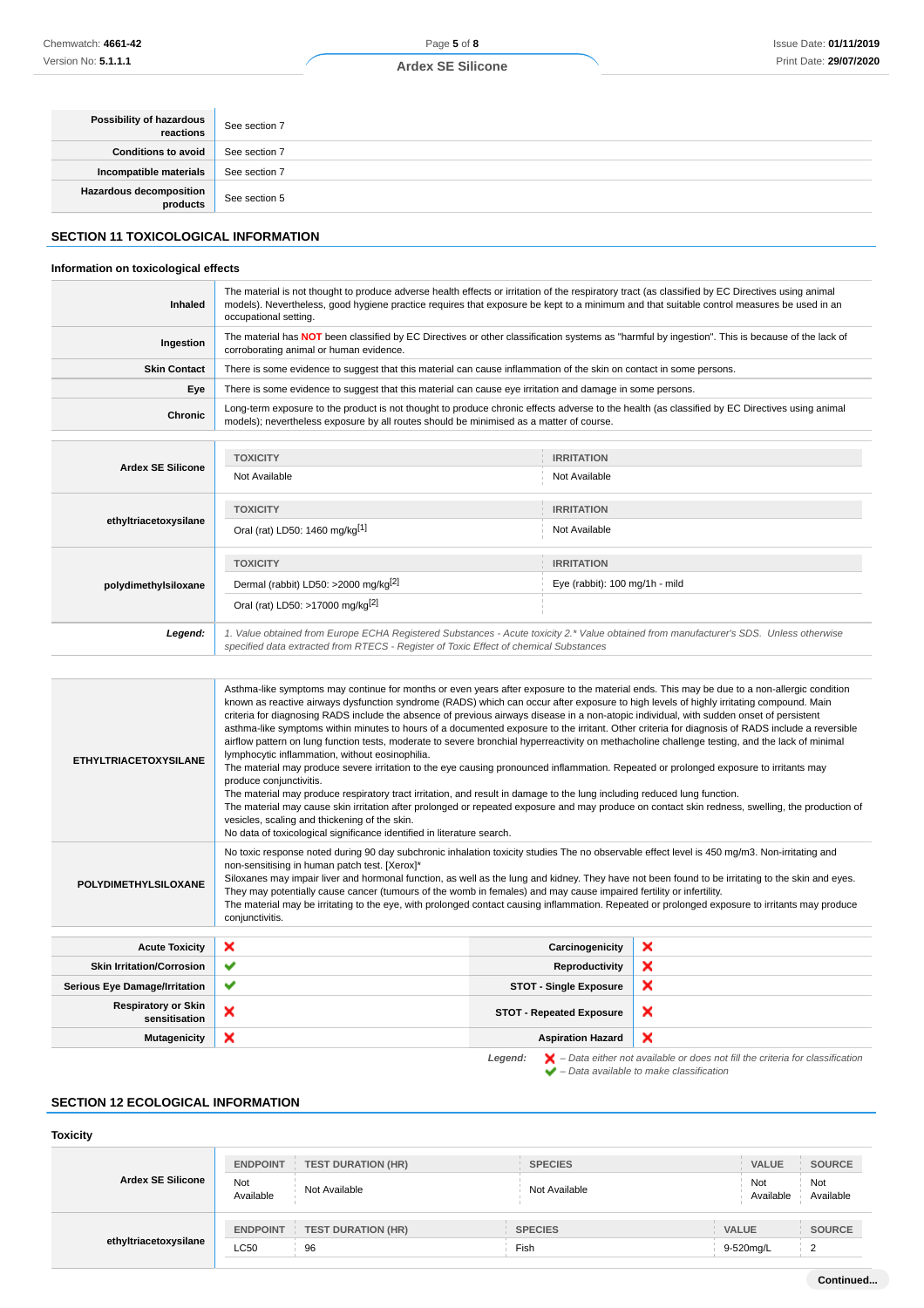| Possibility of hazardous<br>reactions | See section 7 |
|---------------------------------------|---------------|
| <b>Conditions to avoid</b>            | See section 7 |
| Incompatible materials                | See section 7 |
| Hazardous decomposition<br>products   | See section 5 |

# **SECTION 11 TOXICOLOGICAL INFORMATION**

# **Information on toxicological effects**

| Inhaled                  | The material is not thought to produce adverse health effects or irritation of the respiratory tract (as classified by EC Directives using animal<br>models). Nevertheless, good hygiene practice requires that exposure be kept to a minimum and that suitable control measures be used in an<br>occupational setting. |                                                                                                                                                 |  |  |
|--------------------------|-------------------------------------------------------------------------------------------------------------------------------------------------------------------------------------------------------------------------------------------------------------------------------------------------------------------------|-------------------------------------------------------------------------------------------------------------------------------------------------|--|--|
| Ingestion                | corroborating animal or human evidence.                                                                                                                                                                                                                                                                                 | The material has NOT been classified by EC Directives or other classification systems as "harmful by ingestion". This is because of the lack of |  |  |
| <b>Skin Contact</b>      |                                                                                                                                                                                                                                                                                                                         | There is some evidence to suggest that this material can cause inflammation of the skin on contact in some persons.                             |  |  |
| Eye                      | There is some evidence to suggest that this material can cause eye irritation and damage in some persons.                                                                                                                                                                                                               |                                                                                                                                                 |  |  |
| <b>Chronic</b>           | models); nevertheless exposure by all routes should be minimised as a matter of course.                                                                                                                                                                                                                                 | Long-term exposure to the product is not thought to produce chronic effects adverse to the health (as classified by EC Directives using animal  |  |  |
|                          |                                                                                                                                                                                                                                                                                                                         |                                                                                                                                                 |  |  |
|                          | <b>TOXICITY</b>                                                                                                                                                                                                                                                                                                         | <b>IRRITATION</b>                                                                                                                               |  |  |
| <b>Ardex SE Silicone</b> | Not Available                                                                                                                                                                                                                                                                                                           | Not Available                                                                                                                                   |  |  |
|                          | <b>TOXICITY</b>                                                                                                                                                                                                                                                                                                         | <b>IRRITATION</b>                                                                                                                               |  |  |
| ethyltriacetoxysilane    | Oral (rat) LD50: 1460 mg/kg[1]                                                                                                                                                                                                                                                                                          | Not Available                                                                                                                                   |  |  |
|                          | <b>TOXICITY</b>                                                                                                                                                                                                                                                                                                         | <b>IRRITATION</b>                                                                                                                               |  |  |
| polydimethylsiloxane     | Dermal (rabbit) LD50: >2000 mg/kg <sup>[2]</sup>                                                                                                                                                                                                                                                                        | Eye (rabbit): 100 mg/1h - mild                                                                                                                  |  |  |
|                          | Oral (rat) LD50: >17000 mg/kg <sup>[2]</sup>                                                                                                                                                                                                                                                                            |                                                                                                                                                 |  |  |
| Legend:                  | specified data extracted from RTECS - Register of Toxic Effect of chemical Substances                                                                                                                                                                                                                                   | 1. Value obtained from Europe ECHA Registered Substances - Acute toxicity 2.* Value obtained from manufacturer's SDS. Unless otherwise          |  |  |

| <b>ETHYLTRIACETOXYSILANE</b>                                                                                  | Asthma-like symptoms may continue for months or even years after exposure to the material ends. This may be due to a non-allergic condition<br>known as reactive airways dysfunction syndrome (RADS) which can occur after exposure to high levels of highly irritating compound. Main<br>criteria for diagnosing RADS include the absence of previous airways disease in a non-atopic individual, with sudden onset of persistent<br>asthma-like symptoms within minutes to hours of a documented exposure to the irritant. Other criteria for diagnosis of RADS include a reversible<br>airflow pattern on lung function tests, moderate to severe bronchial hyperreactivity on methacholine challenge testing, and the lack of minimal<br>lymphocytic inflammation, without eosinophilia.<br>The material may produce severe irritation to the eye causing pronounced inflammation. Repeated or prolonged exposure to irritants may<br>produce conjunctivitis.<br>The material may produce respiratory tract irritation, and result in damage to the lung including reduced lung function.<br>The material may cause skin irritation after prolonged or repeated exposure and may produce on contact skin redness, swelling, the production of<br>vesicles, scaling and thickening of the skin.<br>No data of toxicological significance identified in literature search. |                                 |   |  |
|---------------------------------------------------------------------------------------------------------------|------------------------------------------------------------------------------------------------------------------------------------------------------------------------------------------------------------------------------------------------------------------------------------------------------------------------------------------------------------------------------------------------------------------------------------------------------------------------------------------------------------------------------------------------------------------------------------------------------------------------------------------------------------------------------------------------------------------------------------------------------------------------------------------------------------------------------------------------------------------------------------------------------------------------------------------------------------------------------------------------------------------------------------------------------------------------------------------------------------------------------------------------------------------------------------------------------------------------------------------------------------------------------------------------------------------------------------------------------------------------------|---------------------------------|---|--|
| <b>POLYDIMETHYLSILOXANE</b>                                                                                   | No toxic response noted during 90 day subchronic inhalation toxicity studies The no observable effect level is 450 mg/m3. Non-irritating and<br>non-sensitising in human patch test. [Xerox]*<br>Siloxanes may impair liver and hormonal function, as well as the lung and kidney. They have not been found to be irritating to the skin and eyes.<br>They may potentially cause cancer (tumours of the womb in females) and may cause impaired fertility or infertility.<br>The material may be irritating to the eye, with prolonged contact causing inflammation. Repeated or prolonged exposure to irritants may produce<br>conjunctivitis.                                                                                                                                                                                                                                                                                                                                                                                                                                                                                                                                                                                                                                                                                                                              |                                 |   |  |
| <b>Acute Toxicity</b>                                                                                         | ×                                                                                                                                                                                                                                                                                                                                                                                                                                                                                                                                                                                                                                                                                                                                                                                                                                                                                                                                                                                                                                                                                                                                                                                                                                                                                                                                                                            | Carcinogenicity                 | × |  |
| <b>Skin Irritation/Corrosion</b>                                                                              | ✔                                                                                                                                                                                                                                                                                                                                                                                                                                                                                                                                                                                                                                                                                                                                                                                                                                                                                                                                                                                                                                                                                                                                                                                                                                                                                                                                                                            | Reproductivity                  | × |  |
| <b>Serious Eye Damage/Irritation</b>                                                                          | ✔                                                                                                                                                                                                                                                                                                                                                                                                                                                                                                                                                                                                                                                                                                                                                                                                                                                                                                                                                                                                                                                                                                                                                                                                                                                                                                                                                                            | <b>STOT - Single Exposure</b>   | × |  |
| <b>Respiratory or Skin</b><br>sensitisation                                                                   | ×                                                                                                                                                                                                                                                                                                                                                                                                                                                                                                                                                                                                                                                                                                                                                                                                                                                                                                                                                                                                                                                                                                                                                                                                                                                                                                                                                                            | <b>STOT - Repeated Exposure</b> | × |  |
| <b>Mutagenicity</b>                                                                                           | ×                                                                                                                                                                                                                                                                                                                                                                                                                                                                                                                                                                                                                                                                                                                                                                                                                                                                                                                                                                                                                                                                                                                                                                                                                                                                                                                                                                            | <b>Aspiration Hazard</b>        | × |  |
| $\blacktriangleright$ - Data either not available or does not fill the criteria for classification<br>Legend: |                                                                                                                                                                                                                                                                                                                                                                                                                                                                                                                                                                                                                                                                                                                                                                                                                                                                                                                                                                                                                                                                                                                                                                                                                                                                                                                                                                              |                                 |   |  |

 $\blacktriangleright$  – Data either not available to make classification<br> $\blacktriangleright$  – Data available to make classification

# **SECTION 12 ECOLOGICAL INFORMATION**

# **Toxicity**

| <b>Ardex SE Silicone</b> | <b>ENDPOINT</b><br>Not<br>Available | <b>TEST DURATION (HR)</b><br>Not Available | <b>SPECIES</b><br>Not Available | <b>VALUE</b><br>Not<br>Available | SOURCE<br>Not<br>Available |
|--------------------------|-------------------------------------|--------------------------------------------|---------------------------------|----------------------------------|----------------------------|
| ethyltriacetoxysilane    | <b>ENDPOINT</b><br>LC50             | <b>TEST DURATION (HR)</b><br>96            | <b>SPECIES</b><br>Fish          | <b>VALUE</b><br>9-520mg/L        | <b>SOURCE</b>              |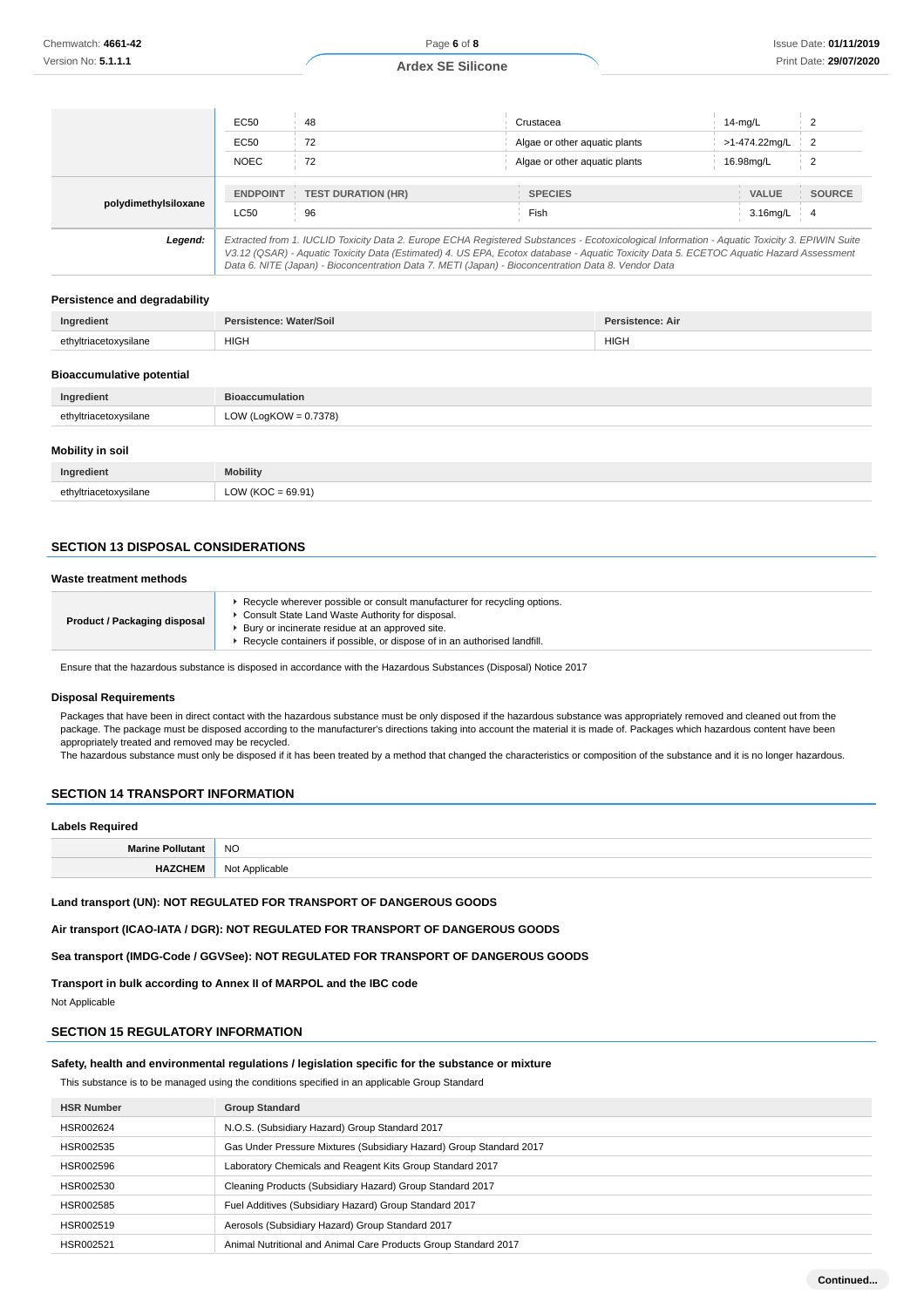|                      | EC50<br>48                                                 | Crustacea                                                                                                                                                                                                                                                                                | $14$ -mg/L                                     |
|----------------------|------------------------------------------------------------|------------------------------------------------------------------------------------------------------------------------------------------------------------------------------------------------------------------------------------------------------------------------------------------|------------------------------------------------|
|                      | EC50<br>72                                                 | Algae or other aguatic plants                                                                                                                                                                                                                                                            | >1-474.22mg/L<br>$\overline{2}$                |
|                      | <b>NOEC</b><br>72                                          | Algae or other aquatic plants                                                                                                                                                                                                                                                            | 16.98mg/L                                      |
| polydimethylsiloxane | <b>TEST DURATION (HR)</b><br><b>ENDPOINT</b><br>96<br>LC50 | <b>SPECIES</b><br>Fish                                                                                                                                                                                                                                                                   | VALUE<br><b>SOURCE</b><br>3.16mg/L<br><b>4</b> |
| Legend:              |                                                            | Extracted from 1. IUCLID Toxicity Data 2. Europe ECHA Registered Substances - Ecotoxicological Information - Aquatic Toxicity 3. EPIWIN Suite<br>V3.12 (QSAR) - Aquatic Toxicity Data (Estimated) 4. US EPA, Ecotox database - Aquatic Toxicity Data 5. ECETOC Aquatic Hazard Assessment |                                                |

#### **Persistence and degradability**

| Ingredient            | sistence: Water/Soil<br>$D_{\alpha r}$ | <b>Persistence: Air</b> |
|-----------------------|----------------------------------------|-------------------------|
| ethyltriacetoxysilane | <b>HIGH</b>                            | <b>HIGH</b>             |

Data 6. NITE (Japan) - Bioconcentration Data 7. METI (Japan) - Bioconcentration Data 8. Vendor Data

#### **Bioaccumulative potential**

| Ingredient              | <b>Bioaccumulation</b>   |  |
|-------------------------|--------------------------|--|
| ethyltriacetoxysilane   | LOW (LogKOW = $0.7378$ ) |  |
| <b>Mobility in soil</b> |                          |  |
| Ingredient              | <b>Mobility</b>          |  |
| ethyltriacetoxysilane   | $LOW (KOC = 69.91)$      |  |

# **SECTION 13 DISPOSAL CONSIDERATIONS**

#### **Waste treatment methods**

| <b>Product / Packaging disposal</b> | ► Recycle wherever possible or consult manufacturer for recycling options.<br>▶ Consult State Land Waste Authority for disposal.<br>Bury or incinerate residue at an approved site.<br>▶ Recycle containers if possible, or dispose of in an authorised landfill. |
|-------------------------------------|-------------------------------------------------------------------------------------------------------------------------------------------------------------------------------------------------------------------------------------------------------------------|
|                                     |                                                                                                                                                                                                                                                                   |

Ensure that the hazardous substance is disposed in accordance with the Hazardous Substances (Disposal) Notice 2017

#### **Disposal Requirements**

Packages that have been in direct contact with the hazardous substance must be only disposed if the hazardous substance was appropriately removed and cleaned out from the package. The package must be disposed according to the manufacturer's directions taking into account the material it is made of. Packages which hazardous content have been appropriately treated and removed may be recycled.

The hazardous substance must only be disposed if it has been treated by a method that changed the characteristics or composition of the substance and it is no longer hazardous.

# **SECTION 14 TRANSPORT INFORMATION**

# **Labels Required**

| Lancis Incidiu cu |                                        |
|-------------------|----------------------------------------|
|                   | <b>NO</b>                              |
|                   | <b>Not</b><br>: Annucahla<br>טויו<br>. |

#### **Land transport (UN): NOT REGULATED FOR TRANSPORT OF DANGEROUS GOODS**

**Air transport (ICAO-IATA / DGR): NOT REGULATED FOR TRANSPORT OF DANGEROUS GOODS**

**Sea transport (IMDG-Code / GGVSee): NOT REGULATED FOR TRANSPORT OF DANGEROUS GOODS**

**Transport in bulk according to Annex II of MARPOL and the IBC code**

Not Applicable

# **SECTION 15 REGULATORY INFORMATION**

# **Safety, health and environmental regulations / legislation specific for the substance or mixture**

This substance is to be managed using the conditions specified in an applicable Group Standard

| <b>HSR Number</b> | <b>Group Standard</b>                                               |
|-------------------|---------------------------------------------------------------------|
| HSR002624         | N.O.S. (Subsidiary Hazard) Group Standard 2017                      |
| HSR002535         | Gas Under Pressure Mixtures (Subsidiary Hazard) Group Standard 2017 |
| HSR002596         | Laboratory Chemicals and Reagent Kits Group Standard 2017           |
| HSR002530         | Cleaning Products (Subsidiary Hazard) Group Standard 2017           |
| HSR002585         | Fuel Additives (Subsidiary Hazard) Group Standard 2017              |
| HSR002519         | Aerosols (Subsidiary Hazard) Group Standard 2017                    |
| HSR002521         | Animal Nutritional and Animal Care Products Group Standard 2017     |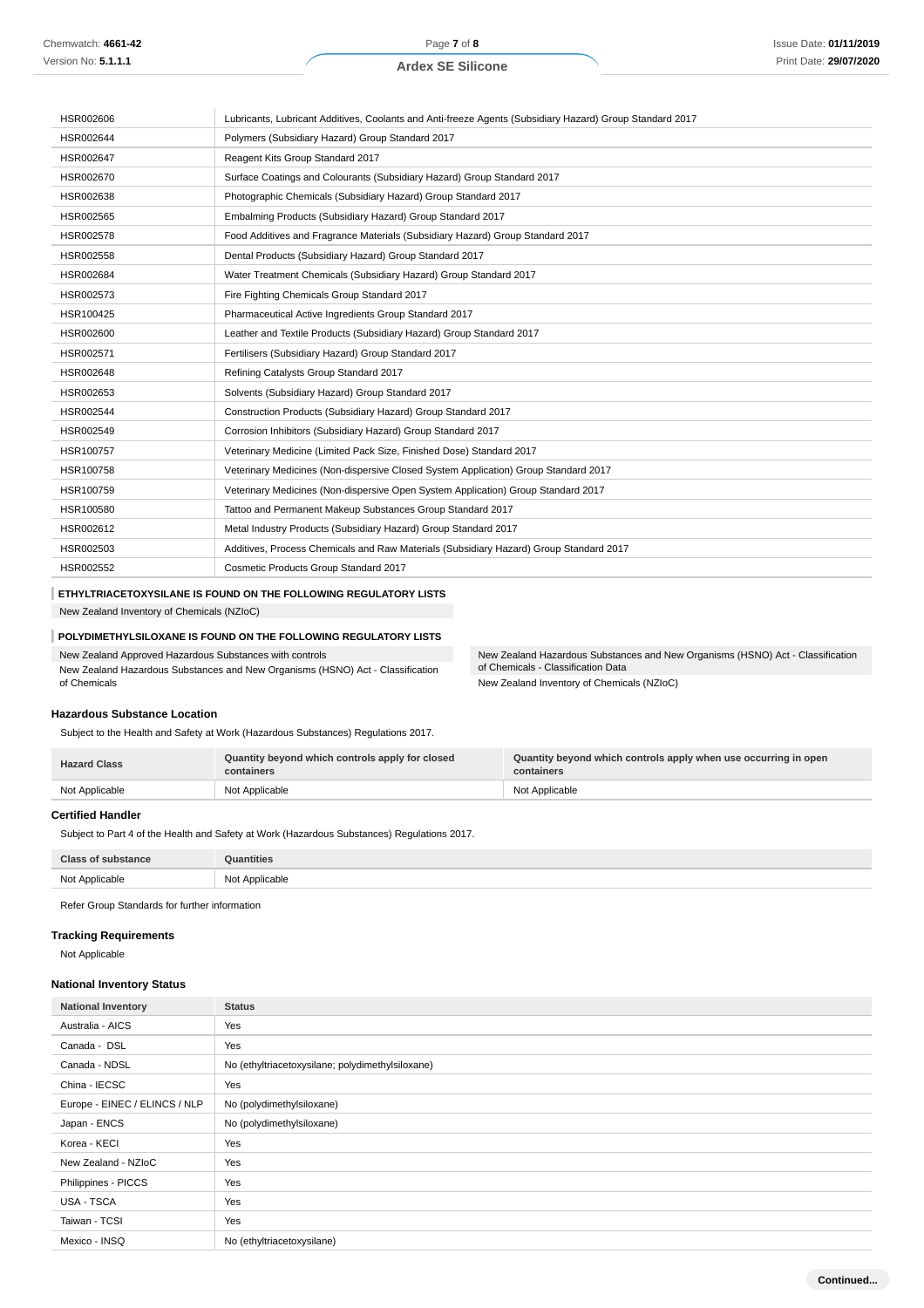| HSR002606 | Lubricants, Lubricant Additives, Coolants and Anti-freeze Agents (Subsidiary Hazard) Group Standard 2017 |
|-----------|----------------------------------------------------------------------------------------------------------|
| HSR002644 | Polymers (Subsidiary Hazard) Group Standard 2017                                                         |
| HSR002647 | Reagent Kits Group Standard 2017                                                                         |
| HSR002670 | Surface Coatings and Colourants (Subsidiary Hazard) Group Standard 2017                                  |
| HSR002638 | Photographic Chemicals (Subsidiary Hazard) Group Standard 2017                                           |
| HSR002565 | Embalming Products (Subsidiary Hazard) Group Standard 2017                                               |
| HSR002578 | Food Additives and Fragrance Materials (Subsidiary Hazard) Group Standard 2017                           |
| HSR002558 | Dental Products (Subsidiary Hazard) Group Standard 2017                                                  |
| HSR002684 | Water Treatment Chemicals (Subsidiary Hazard) Group Standard 2017                                        |
| HSR002573 | Fire Fighting Chemicals Group Standard 2017                                                              |
| HSR100425 | Pharmaceutical Active Ingredients Group Standard 2017                                                    |
| HSR002600 | Leather and Textile Products (Subsidiary Hazard) Group Standard 2017                                     |
| HSR002571 | Fertilisers (Subsidiary Hazard) Group Standard 2017                                                      |
| HSR002648 | Refining Catalysts Group Standard 2017                                                                   |
| HSR002653 | Solvents (Subsidiary Hazard) Group Standard 2017                                                         |
| HSR002544 | Construction Products (Subsidiary Hazard) Group Standard 2017                                            |
| HSR002549 | Corrosion Inhibitors (Subsidiary Hazard) Group Standard 2017                                             |
| HSR100757 | Veterinary Medicine (Limited Pack Size, Finished Dose) Standard 2017                                     |
| HSR100758 | Veterinary Medicines (Non-dispersive Closed System Application) Group Standard 2017                      |
| HSR100759 | Veterinary Medicines (Non-dispersive Open System Application) Group Standard 2017                        |
| HSR100580 | Tattoo and Permanent Makeup Substances Group Standard 2017                                               |
| HSR002612 | Metal Industry Products (Subsidiary Hazard) Group Standard 2017                                          |
| HSR002503 | Additives, Process Chemicals and Raw Materials (Subsidiary Hazard) Group Standard 2017                   |
| HSR002552 | Cosmetic Products Group Standard 2017                                                                    |

### **ETHYLTRIACETOXYSILANE IS FOUND ON THE FOLLOWING REGULATORY LISTS**

New Zealand Inventory of Chemicals (NZIoC)

# **POLYDIMETHYLSILOXANE IS FOUND ON THE FOLLOWING REGULATORY LISTS**

New Zealand Approved Hazardous Substances with controls

New Zealand Hazardous Substances and New Organisms (HSNO) Act - Classification of Chemicals

New Zealand Hazardous Substances and New Organisms (HSNO) Act - Classification of Chemicals - Classification Data New Zealand Inventory of Chemicals (NZIoC)

### **Hazardous Substance Location**

Subject to the Health and Safety at Work (Hazardous Substances) Regulations 2017.

| <b>Hazard Class</b> | Quantity beyond which controls apply for closed<br>containers | Quantity beyond which controls apply when use occurring in open<br>containers |
|---------------------|---------------------------------------------------------------|-------------------------------------------------------------------------------|
| Not Applicable      | Not Applicable                                                | Not Applicable                                                                |

### **Certified Handler**

Subject to Part 4 of the Health and Safety at Work (Hazardous Substances) Regulations 2017.

| Class of substance | <b>Quantities</b> |
|--------------------|-------------------|
| Not Applicable     | Not Applicable    |

Refer Group Standards for further information

# **Tracking Requirements**

Not Applicable

#### **National Inventory Status**

| <b>National Inventory</b>     | <b>Status</b>                                    |
|-------------------------------|--------------------------------------------------|
| Australia - AICS              | Yes                                              |
| Canada - DSL                  | Yes                                              |
| Canada - NDSL                 | No (ethyltriacetoxysilane; polydimethylsiloxane) |
| China - IECSC                 | Yes                                              |
| Europe - EINEC / ELINCS / NLP | No (polydimethylsiloxane)                        |
| Japan - ENCS                  | No (polydimethylsiloxane)                        |
| Korea - KECI                  | Yes                                              |
| New Zealand - NZIoC           | Yes                                              |
| Philippines - PICCS           | Yes                                              |
| USA - TSCA                    | Yes                                              |
| Taiwan - TCSI                 | Yes                                              |
| Mexico - INSQ                 | No (ethyltriacetoxysilane)                       |